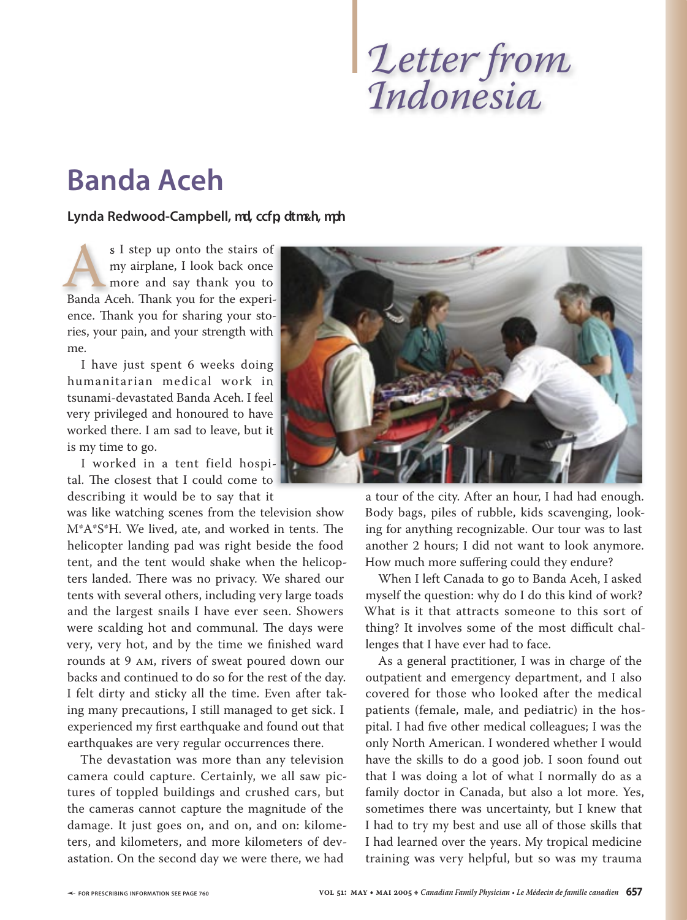## *Indonesia*

## **Banda Aceh**

## **Lynda Redwood-Campbell, md, ccfp, dtm&h, mph**

s I step up onto the stairs of s I step up onto the stairs of my airplane, I look back once my airplane, I look back once more and say thank you to s I step up onto the stairs of<br>my airplane, I look back once<br>more and say thank you to<br>Banda Aceh. Thank you for the experience. Th ank you for sharing your sto-ence. Thank you for sharing your ries, your pain, and your strength with ries, your pain, and your strength with me.

I have just spent 6 weeks doing I have just spent 6 weeks doing humanitarian medical work in humanitarian medical work in tsunami-devastated Banda Aceh. I feel very privileged and honoured to have worked there. I am sad to leave, but it but it is my time to go.

I worked in a tent field hospi-I worked in a tent field tal. The closest that I could come to describing it would be to say that it

was like watching scenes from the television show M\*A\*S\*H. We lived, ate, and worked in tents. The helicopter landing pad was right beside the food tent, and the tent would shake when the helicopters landed. There was no privacy. We shared our tents with several others, including very large toads and the largest snails I have ever seen. Showers were scalding hot and communal. The days were very, very hot, and by the time we finished ward rounds at 9 AM, rivers of sweat poured down our backs and continued to do so for the rest of the day. I felt dirty and sticky all the time. Even after taking many precautions, I still managed to get sick. I experienced my first earthquake and found out that earthquakes are very regular occurrences there.

The devastation was more than any television camera could capture. Certainly, we all saw pictures of toppled buildings and crushed cars, but the cameras cannot capture the magnitude of the damage. It just goes on, and on, and on: kilometers, and kilometers, and more kilometers of devastation. On the second day we were there, we had



describing it would be to say that it had had enough. A tour of the city. After an hour, I had had enough. Body bags, piles of rubble, kids scavenging, looking for anything recognizable. Our tour was to last another 2 hours; I did not want to look anymore. How much more suffering could they endure?

> When I left Canada to go to Banda Aceh, I asked myself the question: why do I do this kind of work? What is it that attracts someone to this sort of thing? It involves some of the most difficult challenges that I have ever had to face.

> As a general practitioner, I was in charge of the outpatient and emergency department, and I also covered for those who looked after the medical patients (female, male, and pediatric) in the hospital. I had five other medical colleagues; I was the only North American. I wondered whether I would have the skills to do a good job. I soon found out that I was doing a lot of what I normally do as a family doctor in Canada, but also a lot more. Yes, sometimes there was uncertainty, but I knew that I had to try my best and use all of those skills that I had learned over the years. My tropical medicine training was very helpful, but so was my trauma